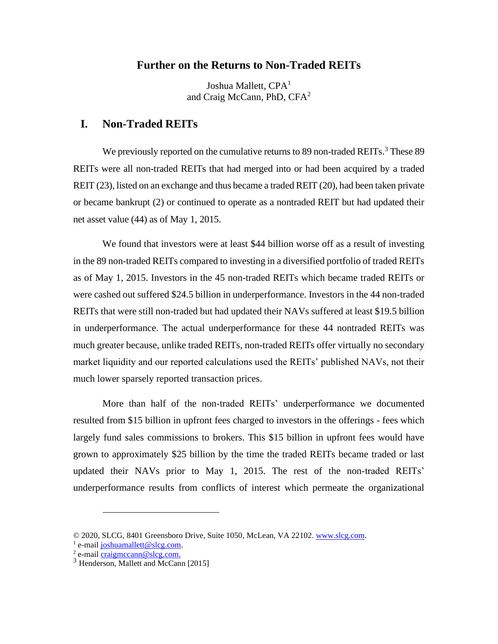## **Further on the Returns to Non-Traded REITs**

Joshua Mallett, CPA<sup>1</sup> and Craig McCann, PhD,  $CFA<sup>2</sup>$ 

## **I. Non-Traded REITs**

We previously reported on the cumulative returns to 89 non-traded REITs.<sup>3</sup> These 89 REITs were all non-traded REITs that had merged into or had been acquired by a traded REIT (23), listed on an exchange and thus became a traded REIT (20), had been taken private or became bankrupt (2) or continued to operate as a nontraded REIT but had updated their net asset value (44) as of May 1, 2015.

We found that investors were at least \$44 billion worse off as a result of investing in the 89 non-traded REITs compared to investing in a diversified portfolio of traded REITs as of May 1, 2015. Investors in the 45 non-traded REITs which became traded REITs or were cashed out suffered \$24.5 billion in underperformance. Investors in the 44 non-traded REITs that were still non-traded but had updated their NAVs suffered at least \$19.5 billion in underperformance. The actual underperformance for these 44 nontraded REITs was much greater because, unlike traded REITs, non-traded REITs offer virtually no secondary market liquidity and our reported calculations used the REITs' published NAVs, not their much lower sparsely reported transaction prices.

More than half of the non-traded REITs' underperformance we documented resulted from \$15 billion in upfront fees charged to investors in the offerings - fees which largely fund sales commissions to brokers. This \$15 billion in upfront fees would have grown to approximately \$25 billion by the time the traded REITs became traded or last updated their NAVs prior to May 1, 2015. The rest of the non-traded REITs' underperformance results from conflicts of interest which permeate the organizational

<sup>© 2020,</sup> SLCG, 8401 Greensboro Drive, Suite 1050, McLean, VA 22102[. www.slcg.com.](http://www.slcg.com/)

<sup>&</sup>lt;sup>1</sup> e-mail [joshuamallett@slcg.com.](mailto:joshuamallett@slcg.com)

<sup>&</sup>lt;sup>2</sup> e-mail [craigmccann@slcg.com.](mailto:craigmccann@slcg.com)

<sup>&</sup>lt;sup>3</sup> Henderson, Mallett and McCann [2015]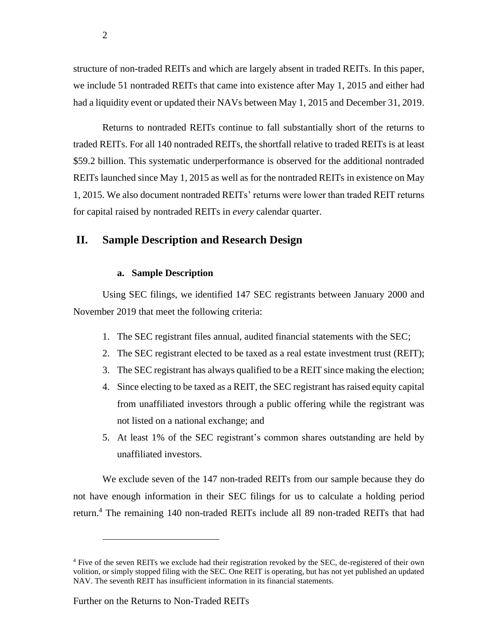structure of non-traded REITs and which are largely absent in traded REITs. In this paper, we include 51 nontraded REITs that came into existence after May 1, 2015 and either had had a liquidity event or updated their NAVs between May 1, 2015 and December 31, 2019.

Returns to nontraded REITs continue to fall substantially short of the returns to traded REITs. For all 140 nontraded REITs, the shortfall relative to traded REITs is at least \$59.2 billion. This systematic underperformance is observed for the additional nontraded REITs launched since May 1, 2015 as well as for the nontraded REITs in existence on May 1, 2015. We also document nontraded REITs' returns were lower than traded REIT returns for capital raised by nontraded REITs in *every* calendar quarter.

## **II. Sample Description and Research Design**

### **a. Sample Description**

Using SEC filings, we identified 147 SEC registrants between January 2000 and November 2019 that meet the following criteria:

- 1. The SEC registrant files annual, audited financial statements with the SEC;
- 2. The SEC registrant elected to be taxed as a real estate investment trust (REIT);
- 3. The SEC registrant has always qualified to be a REIT since making the election;
- 4. Since electing to be taxed as a REIT, the SEC registrant has raised equity capital from unaffiliated investors through a public offering while the registrant was not listed on a national exchange; and
- 5. At least 1% of the SEC registrant's common shares outstanding are held by unaffiliated investors.

We exclude seven of the 147 non-traded REITs from our sample because they do not have enough information in their SEC filings for us to calculate a holding period return.<sup>4</sup> The remaining 140 non-traded REITs include all 89 non-traded REITs that had

2

<sup>&</sup>lt;sup>4</sup> Five of the seven REITs we exclude had their registration revoked by the SEC, de-registered of their own volition, or simply stopped filing with the SEC. One REIT is operating, but has not yet published an updated NAV. The seventh REIT has insufficient information in its financial statements.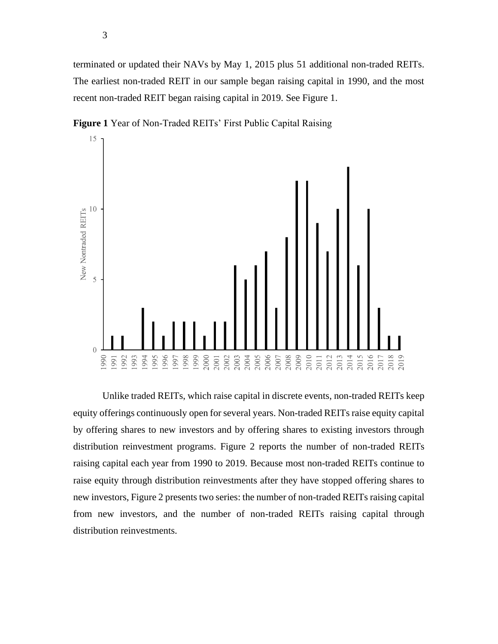terminated or updated their NAVs by May 1, 2015 plus 51 additional non-traded REITs. The earliest non-traded REIT in our sample began raising capital in 1990, and the most recent non-traded REIT began raising capital in 2019. See Figure 1.



**Figure 1** Year of Non-Traded REITs' First Public Capital Raising

Unlike traded REITs, which raise capital in discrete events, non-traded REITs keep equity offerings continuously open for several years. Non-traded REITs raise equity capital by offering shares to new investors and by offering shares to existing investors through distribution reinvestment programs. Figure 2 reports the number of non-traded REITs raising capital each year from 1990 to 2019. Because most non-traded REITs continue to raise equity through distribution reinvestments after they have stopped offering shares to new investors, Figure 2 presents two series: the number of non-traded REITs raising capital from new investors, and the number of non-traded REITs raising capital through distribution reinvestments.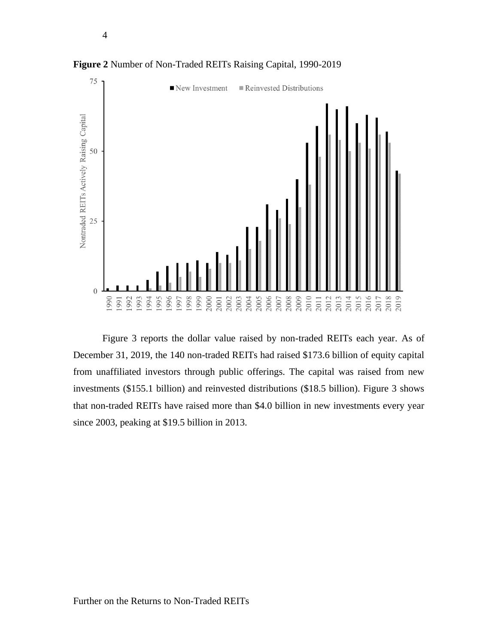

**Figure 2** Number of Non-Traded REITs Raising Capital, 1990-2019

4

Figure 3 reports the dollar value raised by non-traded REITs each year. As of December 31, 2019, the 140 non-traded REITs had raised \$173.6 billion of equity capital from unaffiliated investors through public offerings. The capital was raised from new investments (\$155.1 billion) and reinvested distributions (\$18.5 billion). Figure 3 shows that non-traded REITs have raised more than \$4.0 billion in new investments every year since 2003, peaking at \$19.5 billion in 2013.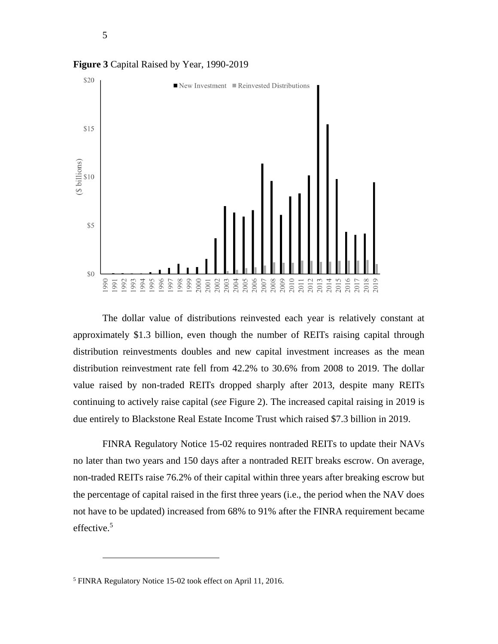

**Figure 3** Capital Raised by Year, 1990-2019

The dollar value of distributions reinvested each year is relatively constant at approximately \$1.3 billion, even though the number of REITs raising capital through distribution reinvestments doubles and new capital investment increases as the mean distribution reinvestment rate fell from 42.2% to 30.6% from 2008 to 2019. The dollar value raised by non-traded REITs dropped sharply after 2013, despite many REITs continuing to actively raise capital (*see* Figure 2). The increased capital raising in 2019 is due entirely to Blackstone Real Estate Income Trust which raised \$7.3 billion in 2019.

FINRA Regulatory Notice 15-02 requires nontraded REITs to update their NAVs no later than two years and 150 days after a nontraded REIT breaks escrow. On average, non-traded REITs raise 76.2% of their capital within three years after breaking escrow but the percentage of capital raised in the first three years (i.e., the period when the NAV does not have to be updated) increased from 68% to 91% after the FINRA requirement became effective. 5

<sup>5</sup> FINRA Regulatory Notice 15-02 took effect on April 11, 2016.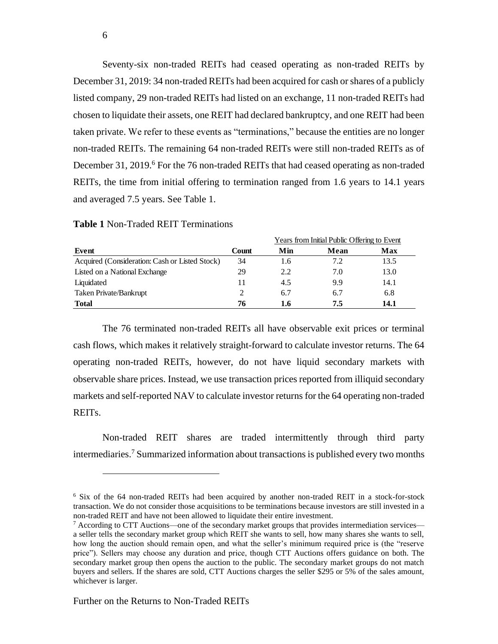Seventy-six non-traded REITs had ceased operating as non-traded REITs by December 31, 2019: 34 non-traded REITs had been acquired for cash or shares of a publicly listed company, 29 non-traded REITs had listed on an exchange, 11 non-traded REITs had chosen to liquidate their assets, one REIT had declared bankruptcy, and one REIT had been taken private. We refer to these events as "terminations," because the entities are no longer non-traded REITs. The remaining 64 non-traded REITs were still non-traded REITs as of December 31, 2019.<sup>6</sup> For the 76 non-traded REITs that had ceased operating as non-traded REITs, the time from initial offering to termination ranged from 1.6 years to 14.1 years and averaged 7.5 years. See Table 1.

| Years from Initial Public Offering to Event    |       |     |      |      |
|------------------------------------------------|-------|-----|------|------|
| Event                                          | Count | Min | Mean | Max  |
| Acquired (Consideration: Cash or Listed Stock) | 34    | 1.6 | 7.2  | 13.5 |
| Listed on a National Exchange                  | 29    | 2.2 | 7.0  | 13.0 |
| Liquidated                                     | 11    | 4.5 | 9.9  | 14.1 |
| Taken Private/Bankrupt                         |       | 6.7 | 6.7  | 6.8  |
| Total                                          | 76    | 1.6 | 7.5  | 14.1 |

 $\sigma = \sigma$  is  $\sigma = \sigma$ 

**Table 1** Non-Traded REIT Terminations

The 76 terminated non-traded REITs all have observable exit prices or terminal cash flows, which makes it relatively straight-forward to calculate investor returns. The 64 operating non-traded REITs, however, do not have liquid secondary markets with observable share prices. Instead, we use transaction prices reported from illiquid secondary markets and self-reported NAV to calculate investor returns for the 64 operating non-traded REITs.

Non-traded REIT shares are traded intermittently through third party intermediaries. <sup>7</sup> Summarized information about transactions is published every two months

<sup>6</sup> Six of the 64 non-traded REITs had been acquired by another non-traded REIT in a stock-for-stock transaction. We do not consider those acquisitions to be terminations because investors are still invested in a non-traded REIT and have not been allowed to liquidate their entire investment.

 $7$  According to CTT Auctions—one of the secondary market groups that provides intermediation services a seller tells the secondary market group which REIT she wants to sell, how many shares she wants to sell, how long the auction should remain open, and what the seller's minimum required price is (the "reserve price"). Sellers may choose any duration and price, though CTT Auctions offers guidance on both. The secondary market group then opens the auction to the public. The secondary market groups do not match buyers and sellers. If the shares are sold, CTT Auctions charges the seller \$295 or 5% of the sales amount, whichever is larger.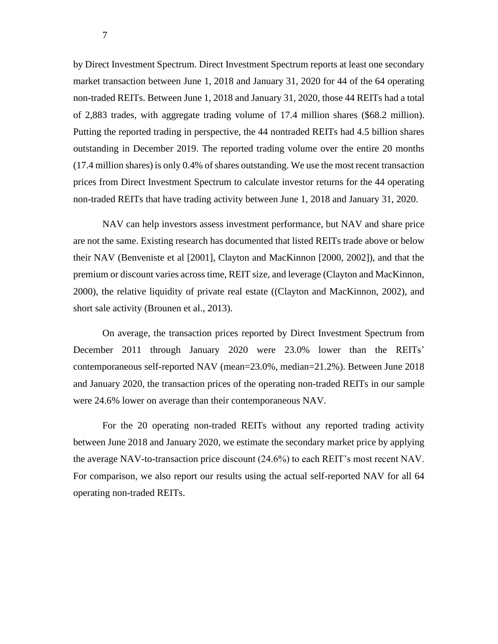by Direct Investment Spectrum. Direct Investment Spectrum reports at least one secondary market transaction between June 1, 2018 and January 31, 2020 for 44 of the 64 operating non-traded REITs. Between June 1, 2018 and January 31, 2020, those 44 REITs had a total of 2,883 trades, with aggregate trading volume of 17.4 million shares (\$68.2 million). Putting the reported trading in perspective, the 44 nontraded REITs had 4.5 billion shares outstanding in December 2019. The reported trading volume over the entire 20 months (17.4 million shares) is only 0.4% of shares outstanding. We use the most recent transaction prices from Direct Investment Spectrum to calculate investor returns for the 44 operating non-traded REITs that have trading activity between June 1, 2018 and January 31, 2020.

NAV can help investors assess investment performance, but NAV and share price are not the same. Existing research has documented that listed REITs trade above or below their NAV (Benveniste et al [2001], Clayton and MacKinnon [2000, 2002]), and that the premium or discount varies across time, REIT size, and leverage (Clayton and MacKinnon, 2000), the relative liquidity of private real estate ((Clayton and MacKinnon, 2002), and short sale activity (Brounen et al., 2013).

On average, the transaction prices reported by Direct Investment Spectrum from December 2011 through January 2020 were 23.0% lower than the REITs' contemporaneous self-reported NAV (mean=23.0%, median=21.2%). Between June 2018 and January 2020, the transaction prices of the operating non-traded REITs in our sample were 24.6% lower on average than their contemporaneous NAV.

For the 20 operating non-traded REITs without any reported trading activity between June 2018 and January 2020, we estimate the secondary market price by applying the average NAV-to-transaction price discount (24.6%) to each REIT's most recent NAV. For comparison, we also report our results using the actual self-reported NAV for all 64 operating non-traded REITs.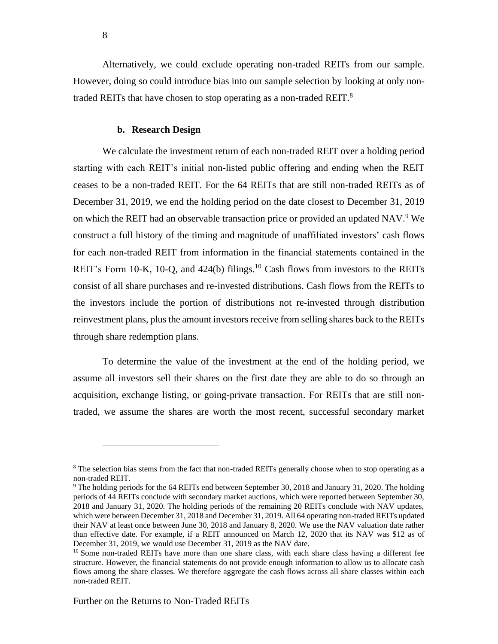Alternatively, we could exclude operating non-traded REITs from our sample. However, doing so could introduce bias into our sample selection by looking at only nontraded REITs that have chosen to stop operating as a non-traded REIT. $8$ 

### **b. Research Design**

We calculate the investment return of each non-traded REIT over a holding period starting with each REIT's initial non-listed public offering and ending when the REIT ceases to be a non-traded REIT. For the 64 REITs that are still non-traded REITs as of December 31, 2019, we end the holding period on the date closest to December 31, 2019 on which the REIT had an observable transaction price or provided an updated NAV.<sup>9</sup> We construct a full history of the timing and magnitude of unaffiliated investors' cash flows for each non-traded REIT from information in the financial statements contained in the REIT's Form 10-K, 10-Q, and  $424(b)$  filings.<sup>10</sup> Cash flows from investors to the REITs consist of all share purchases and re-invested distributions. Cash flows from the REITs to the investors include the portion of distributions not re-invested through distribution reinvestment plans, plus the amount investors receive from selling shares back to the REITs through share redemption plans.

To determine the value of the investment at the end of the holding period, we assume all investors sell their shares on the first date they are able to do so through an acquisition, exchange listing, or going-private transaction. For REITs that are still nontraded, we assume the shares are worth the most recent, successful secondary market

<sup>&</sup>lt;sup>8</sup> The selection bias stems from the fact that non-traded REITs generally choose when to stop operating as a non-traded REIT.

<sup>9</sup> The holding periods for the 64 REITs end between September 30, 2018 and January 31, 2020. The holding periods of 44 REITs conclude with secondary market auctions, which were reported between September 30, 2018 and January 31, 2020. The holding periods of the remaining 20 REITs conclude with NAV updates, which were between December 31, 2018 and December 31, 2019. All 64 operating non-traded REITs updated their NAV at least once between June 30, 2018 and January 8, 2020. We use the NAV valuation date rather than effective date. For example, if a REIT announced on March 12, 2020 that its NAV was \$12 as of December 31, 2019, we would use December 31, 2019 as the NAV date.

<sup>&</sup>lt;sup>10</sup> Some non-traded REITs have more than one share class, with each share class having a different fee structure. However, the financial statements do not provide enough information to allow us to allocate cash flows among the share classes. We therefore aggregate the cash flows across all share classes within each non-traded REIT.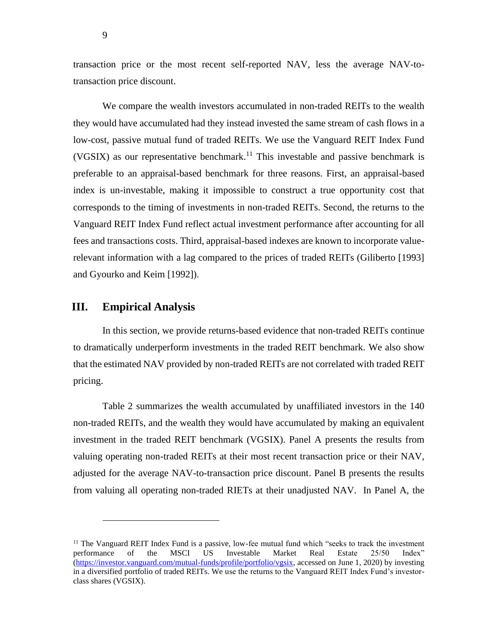transaction price or the most recent self-reported NAV, less the average NAV-totransaction price discount.

We compare the wealth investors accumulated in non-traded REITs to the wealth they would have accumulated had they instead invested the same stream of cash flows in a low-cost, passive mutual fund of traded REITs. We use the Vanguard REIT Index Fund (VGSIX) as our representative benchmark.<sup>11</sup> This investable and passive benchmark is preferable to an appraisal-based benchmark for three reasons. First, an appraisal-based index is un-investable, making it impossible to construct a true opportunity cost that corresponds to the timing of investments in non-traded REITs. Second, the returns to the Vanguard REIT Index Fund reflect actual investment performance after accounting for all fees and transactions costs. Third, appraisal-based indexes are known to incorporate valuerelevant information with a lag compared to the prices of traded REITs (Giliberto [1993] and Gyourko and Keim [1992]).

# **III. Empirical Analysis**

In this section, we provide returns-based evidence that non-traded REITs continue to dramatically underperform investments in the traded REIT benchmark. We also show that the estimated NAV provided by non-traded REITs are not correlated with traded REIT pricing.

Table 2 summarizes the wealth accumulated by unaffiliated investors in the 140 non-traded REITs, and the wealth they would have accumulated by making an equivalent investment in the traded REIT benchmark (VGSIX). Panel A presents the results from valuing operating non-traded REITs at their most recent transaction price or their NAV, adjusted for the average NAV-to-transaction price discount. Panel B presents the results from valuing all operating non-traded RIETs at their unadjusted NAV. In Panel A, the

9

<sup>&</sup>lt;sup>11</sup> The Vanguard REIT Index Fund is a passive, low-fee mutual fund which "seeks to track the investment performance of the MSCI US Investable Market Real Estate 25/50 Index" [\(https://investor.vanguard.com/mutual-funds/profile/portfolio/vgsix,](https://investor.vanguard.com/mutual-funds/profile/portfolio/vgsix) accessed on June 1, 2020) by investing in a diversified portfolio of traded REITs. We use the returns to the Vanguard REIT Index Fund's investorclass shares (VGSIX).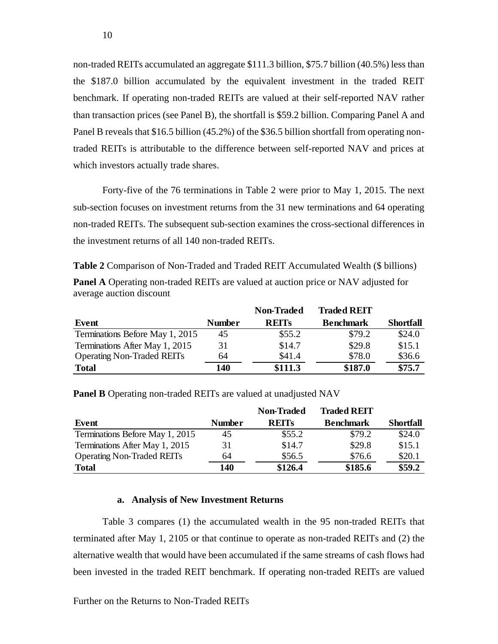non-traded REITs accumulated an aggregate \$111.3 billion, \$75.7 billion (40.5%) less than the \$187.0 billion accumulated by the equivalent investment in the traded REIT benchmark. If operating non-traded REITs are valued at their self-reported NAV rather than transaction prices (see Panel B), the shortfall is \$59.2 billion. Comparing Panel A and Panel B reveals that \$16.5 billion (45.2%) of the \$36.5 billion shortfall from operating nontraded REITs is attributable to the difference between self-reported NAV and prices at which investors actually trade shares.

Forty-five of the 76 terminations in Table 2 were prior to May 1, 2015. The next sub-section focuses on investment returns from the 31 new terminations and 64 operating non-traded REITs. The subsequent sub-section examines the cross-sectional differences in the investment returns of all 140 non-traded REITs.

**Table 2** Comparison of Non-Traded and Traded REIT Accumulated Wealth (\$ billions) **Panel A** Operating non-traded REITs are valued at auction price or NAV adjusted for average auction discount

|                                   |        | <b>Non-Traded</b> | <b>Traded REIT</b> |                  |
|-----------------------------------|--------|-------------------|--------------------|------------------|
| Event                             | Number | <b>REITS</b>      | <b>Benchmark</b>   | <b>Shortfall</b> |
| Terminations Before May 1, 2015   | 45     | \$55.2            | \$79.2             | \$24.0           |
| Terminations After May 1, 2015    | 31     | \$14.7            | \$29.8             | \$15.1           |
| <b>Operating Non-Traded REITs</b> | 64     | \$41.4            | \$78.0             | \$36.6           |
| <b>Total</b>                      | 140    | \$111.3           | \$187.0            | \$75.7           |

**Panel B** Operating non-traded REITs are valued at unadjusted NAV

|                                   |               | Non-Traded   | <b>Traded REIT</b> |                  |
|-----------------------------------|---------------|--------------|--------------------|------------------|
| Event                             | <b>Number</b> | <b>REITS</b> | <b>Benchmark</b>   | <b>Shortfall</b> |
| Terminations Before May 1, 2015   | 45            | \$55.2       | \$79.2             | \$24.0           |
| Terminations After May 1, 2015    | 31            | \$14.7       | \$29.8             | \$15.1           |
| <b>Operating Non-Traded REITs</b> | 64            | \$56.5       | \$76.6             | \$20.1           |
| <b>Total</b>                      | 140           | \$126.4      | \$185.6            | \$59.2           |

#### **a. Analysis of New Investment Returns**

Table 3 compares (1) the accumulated wealth in the 95 non-traded REITs that terminated after May 1, 2105 or that continue to operate as non-traded REITs and (2) the alternative wealth that would have been accumulated if the same streams of cash flows had been invested in the traded REIT benchmark. If operating non-traded REITs are valued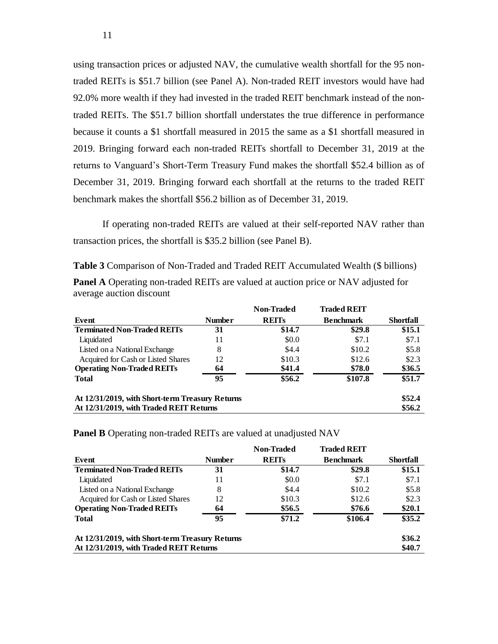using transaction prices or adjusted NAV, the cumulative wealth shortfall for the 95 nontraded REITs is \$51.7 billion (see Panel A). Non-traded REIT investors would have had 92.0% more wealth if they had invested in the traded REIT benchmark instead of the nontraded REITs. The \$51.7 billion shortfall understates the true difference in performance because it counts a \$1 shortfall measured in 2015 the same as a \$1 shortfall measured in 2019. Bringing forward each non-traded REITs shortfall to December 31, 2019 at the returns to Vanguard's Short-Term Treasury Fund makes the shortfall \$52.4 billion as of December 31, 2019. Bringing forward each shortfall at the returns to the traded REIT benchmark makes the shortfall \$56.2 billion as of December 31, 2019.

If operating non-traded REITs are valued at their self-reported NAV rather than transaction prices, the shortfall is \$35.2 billion (see Panel B).

**Table 3** Comparison of Non-Traded and Traded REIT Accumulated Wealth (\$ billions) **Panel A** Operating non-traded REITs are valued at auction price or NAV adjusted for average auction discount

|                                                 |               | <b>Non-Traded</b> | <b>Traded REIT</b> |                  |
|-------------------------------------------------|---------------|-------------------|--------------------|------------------|
| Event                                           | <b>Number</b> | <b>REITS</b>      | <b>Benchmark</b>   | <b>Shortfall</b> |
| <b>Terminated Non-Traded REITs</b>              | 31            | \$14.7            | \$29.8             | \$15.1           |
| Liquidated                                      | 11            | \$0.0             | \$7.1              | \$7.1            |
| Listed on a National Exchange                   | 8             | \$4.4             | \$10.2             | \$5.8            |
| Acquired for Cash or Listed Shares              | 12            | \$10.3            | \$12.6             | \$2.3            |
| <b>Operating Non-Traded REITs</b>               | 64            | \$41.4            | \$78.0             | \$36.5           |
| <b>Total</b>                                    | 95            | \$56.2            | \$107.8            | \$51.7           |
| At 12/31/2019, with Short-term Treasury Returns |               |                   |                    | \$52.4           |
| At 12/31/2019, with Traded REIT Returns         |               |                   |                    | \$56.2           |

**Panel B** Operating non-traded REITs are valued at unadjusted NAV

|                                                 |               | Non-Traded   | <b>Traded REIT</b> |           |
|-------------------------------------------------|---------------|--------------|--------------------|-----------|
| Event                                           | <b>Number</b> | <b>REITS</b> | <b>Benchmark</b>   | Shortfall |
| <b>Terminated Non-Traded REITs</b>              | 31            | \$14.7       | \$29.8             | \$15.1    |
| Liquidated                                      | 11            | \$0.0        | \$7.1              | \$7.1     |
| Listed on a National Exchange                   | 8             | \$4.4        | \$10.2             | \$5.8     |
| Acquired for Cash or Listed Shares              | 12            | \$10.3       | \$12.6             | \$2.3     |
| <b>Operating Non-Traded REITs</b>               | 64            | \$56.5       | \$76.6             | \$20.1    |
| <b>Total</b>                                    | 95            | \$71.2       | \$106.4            | \$35.2\$  |
| At 12/31/2019, with Short-term Treasury Returns |               |              |                    | \$36.2    |
| At 12/31/2019, with Traded REIT Returns         |               |              |                    | \$40.7    |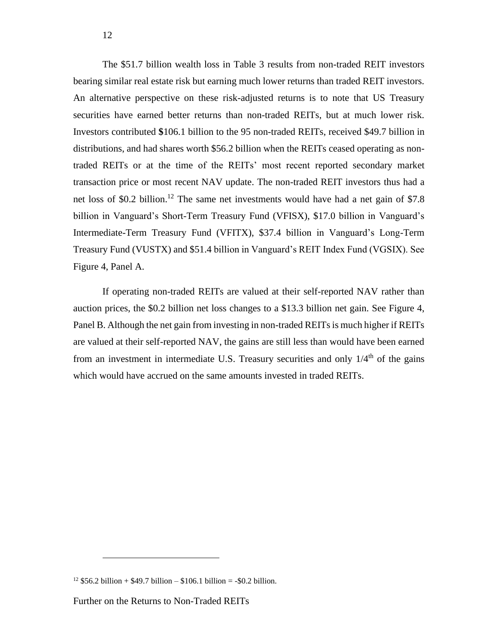The \$51.7 billion wealth loss in Table 3 results from non-traded REIT investors bearing similar real estate risk but earning much lower returns than traded REIT investors. An alternative perspective on these risk-adjusted returns is to note that US Treasury securities have earned better returns than non-traded REITs, but at much lower risk. Investors contributed **\$**106.1 billion to the 95 non-traded REITs, received \$49.7 billion in distributions, and had shares worth \$56.2 billion when the REITs ceased operating as nontraded REITs or at the time of the REITs' most recent reported secondary market transaction price or most recent NAV update. The non-traded REIT investors thus had a net loss of \$0.2 billion.<sup>12</sup> The same net investments would have had a net gain of \$7.8 billion in Vanguard's Short-Term Treasury Fund (VFISX), \$17.0 billion in Vanguard's Intermediate-Term Treasury Fund (VFITX), \$37.4 billion in Vanguard's Long-Term Treasury Fund (VUSTX) and \$51.4 billion in Vanguard's REIT Index Fund (VGSIX). See Figure 4, Panel A.

If operating non-traded REITs are valued at their self-reported NAV rather than auction prices, the \$0.2 billion net loss changes to a \$13.3 billion net gain. See Figure 4, Panel B. Although the net gain from investing in non-traded REITs is much higher if REITs are valued at their self-reported NAV, the gains are still less than would have been earned from an investment in intermediate U.S. Treasury securities and only  $1/4<sup>th</sup>$  of the gains which would have accrued on the same amounts invested in traded REITs.

<sup>&</sup>lt;sup>12</sup> \$56.2 billion + \$49.7 billion – \$106.1 billion = -\$0.2 billion.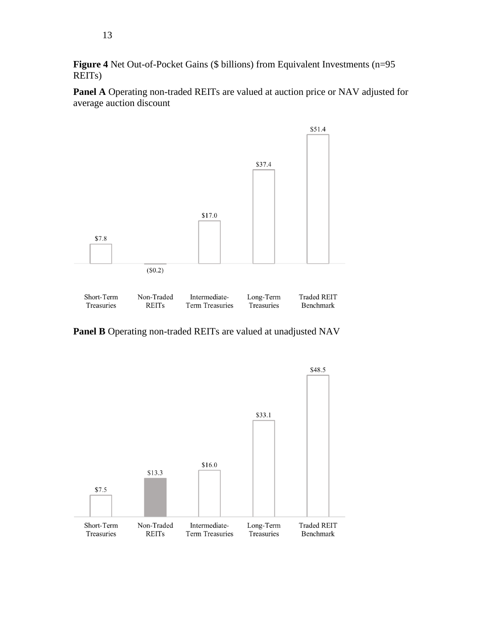Figure 4 Net Out-of-Pocket Gains (\$ billions) from Equivalent Investments (n=95 REITs)

**Panel A** Operating non-traded REITs are valued at auction price or NAV adjusted for average auction discount



**Panel B** Operating non-traded REITs are valued at unadjusted NAV

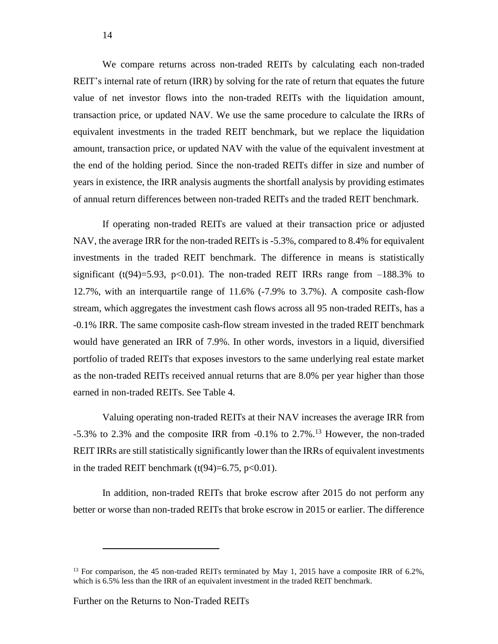We compare returns across non-traded REITs by calculating each non-traded REIT's internal rate of return (IRR) by solving for the rate of return that equates the future value of net investor flows into the non-traded REITs with the liquidation amount, transaction price, or updated NAV. We use the same procedure to calculate the IRRs of equivalent investments in the traded REIT benchmark, but we replace the liquidation amount, transaction price, or updated NAV with the value of the equivalent investment at the end of the holding period. Since the non-traded REITs differ in size and number of years in existence, the IRR analysis augments the shortfall analysis by providing estimates of annual return differences between non-traded REITs and the traded REIT benchmark.

If operating non-traded REITs are valued at their transaction price or adjusted NAV, the average IRR for the non-traded REITs is -5.3%, compared to 8.4% for equivalent investments in the traded REIT benchmark. The difference in means is statistically significant (t(94)=5.93, p<0.01). The non-traded REIT IRRs range from  $-188.3\%$  to 12.7%, with an interquartile range of 11.6% (-7.9% to 3.7%). A composite cash-flow stream, which aggregates the investment cash flows across all 95 non-traded REITs, has a -0.1% IRR. The same composite cash-flow stream invested in the traded REIT benchmark would have generated an IRR of 7.9%. In other words, investors in a liquid, diversified portfolio of traded REITs that exposes investors to the same underlying real estate market as the non-traded REITs received annual returns that are 8.0% per year higher than those earned in non-traded REITs. See Table 4.

Valuing operating non-traded REITs at their NAV increases the average IRR from  $-5.3\%$  to 2.3% and the composite IRR from  $-0.1\%$  to 2.7%.<sup>13</sup> However, the non-traded REIT IRRs are still statistically significantly lower than the IRRs of equivalent investments in the traded REIT benchmark  $(t(94)=6.75, p<0.01)$ .

In addition, non-traded REITs that broke escrow after 2015 do not perform any better or worse than non-traded REITs that broke escrow in 2015 or earlier. The difference

<sup>&</sup>lt;sup>13</sup> For comparison, the 45 non-traded REITs terminated by May 1, 2015 have a composite IRR of 6.2%, which is 6.5% less than the IRR of an equivalent investment in the traded REIT benchmark.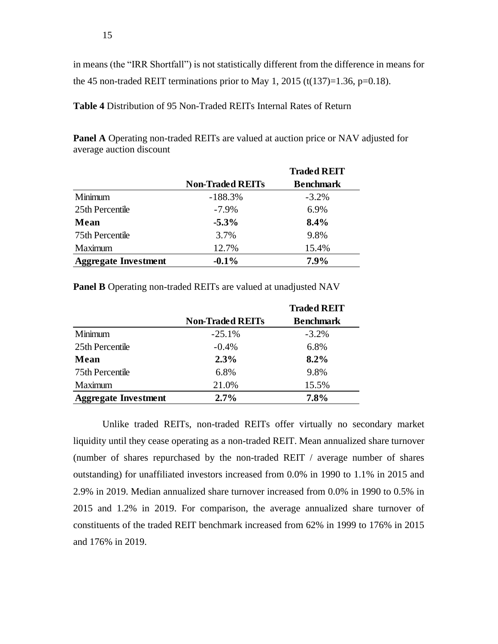in means (the "IRR Shortfall") is not statistically different from the difference in means for the 45 non-traded REIT terminations prior to May 1, 2015 (t(137)=1.36, p=0.18).

**Table 4** Distribution of 95 Non-Traded REITs Internal Rates of Return

| <b>Panel A</b> Operating non-traded REITs are valued at auction price or NAV adjusted for |  |
|-------------------------------------------------------------------------------------------|--|
| average auction discount                                                                  |  |
|                                                                                           |  |

|                             |                         | <b>Traded REIT</b> |
|-----------------------------|-------------------------|--------------------|
|                             | <b>Non-Traded REITs</b> | <b>Benchmark</b>   |
| Minimum                     | $-188.3%$               | $-3.2\%$           |
| 25th Percentile             | $-7.9\%$                | 6.9%               |
| Mean                        | $-5.3\%$                | 8.4%               |
| 75th Percentile             | 3.7%                    | 9.8%               |
| Maximum                     | 12.7%                   | 15.4%              |
| <b>Aggregate Investment</b> | $-0.1\%$                | $7.9\%$            |

**Panel B** Operating non-traded REITs are valued at unadjusted NAV

|                             |                         | <b>Traded REIT</b> |
|-----------------------------|-------------------------|--------------------|
|                             | <b>Non-Traded REITs</b> | <b>Benchmark</b>   |
| Minimum                     | $-25.1%$                | $-3.2%$            |
| 25th Percentile             | $-0.4%$                 | 6.8%               |
| Mean                        | 2.3%                    | 8.2%               |
| 75th Percentile             | 6.8%                    | 9.8%               |
| Maximum                     | 21.0%                   | 15.5%              |
| <b>Aggregate Investment</b> | 2.7%                    | 7.8%               |

Unlike traded REITs, non-traded REITs offer virtually no secondary market liquidity until they cease operating as a non-traded REIT. Mean annualized share turnover (number of shares repurchased by the non-traded REIT / average number of shares outstanding) for unaffiliated investors increased from 0.0% in 1990 to 1.1% in 2015 and 2.9% in 2019. Median annualized share turnover increased from 0.0% in 1990 to 0.5% in 2015 and 1.2% in 2019. For comparison, the average annualized share turnover of constituents of the traded REIT benchmark increased from 62% in 1999 to 176% in 2015 and 176% in 2019.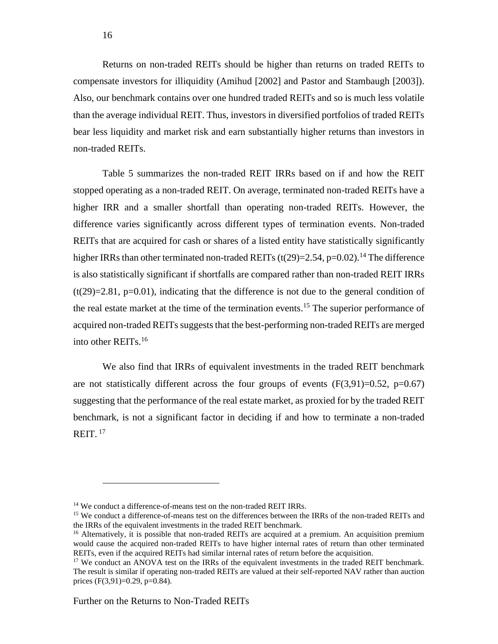Returns on non-traded REITs should be higher than returns on traded REITs to compensate investors for illiquidity (Amihud [2002] and Pastor and Stambaugh [2003]). Also, our benchmark contains over one hundred traded REITs and so is much less volatile than the average individual REIT. Thus, investors in diversified portfolios of traded REITs bear less liquidity and market risk and earn substantially higher returns than investors in non-traded REITs.

Table 5 summarizes the non-traded REIT IRRs based on if and how the REIT stopped operating as a non-traded REIT. On average, terminated non-traded REITs have a higher IRR and a smaller shortfall than operating non-traded REITs. However, the difference varies significantly across different types of termination events. Non-traded REITs that are acquired for cash or shares of a listed entity have statistically significantly higher IRRs than other terminated non-traded REITs  $(t(29)=2.54, p=0.02)$ .<sup>14</sup> The difference is also statistically significant if shortfalls are compared rather than non-traded REIT IRRs  $(t(29)=2.81, p=0.01)$ , indicating that the difference is not due to the general condition of the real estate market at the time of the termination events. <sup>15</sup> The superior performance of acquired non-traded REITs suggests that the best-performing non-traded REITs are merged into other REITs.<sup>16</sup>

We also find that IRRs of equivalent investments in the traded REIT benchmark are not statistically different across the four groups of events  $(F(3,91)=0.52, p=0.67)$ suggesting that the performance of the real estate market, as proxied for by the traded REIT benchmark, is not a significant factor in deciding if and how to terminate a non-traded REIT.  $17$ 

<sup>&</sup>lt;sup>14</sup> We conduct a difference-of-means test on the non-traded REIT IRRs.

<sup>&</sup>lt;sup>15</sup> We conduct a difference-of-means test on the differences between the IRRs of the non-traded REITs and the IRRs of the equivalent investments in the traded REIT benchmark.

<sup>&</sup>lt;sup>16</sup> Alternatively, it is possible that non-traded REITs are acquired at a premium. An acquisition premium would cause the acquired non-traded REITs to have higher internal rates of return than other terminated REITs, even if the acquired REITs had similar internal rates of return before the acquisition.

<sup>&</sup>lt;sup>17</sup> We conduct an ANOVA test on the IRRs of the equivalent investments in the traded REIT benchmark. The result is similar if operating non-traded REITs are valued at their self-reported NAV rather than auction prices (F(3,91)=0.29, p=0.84).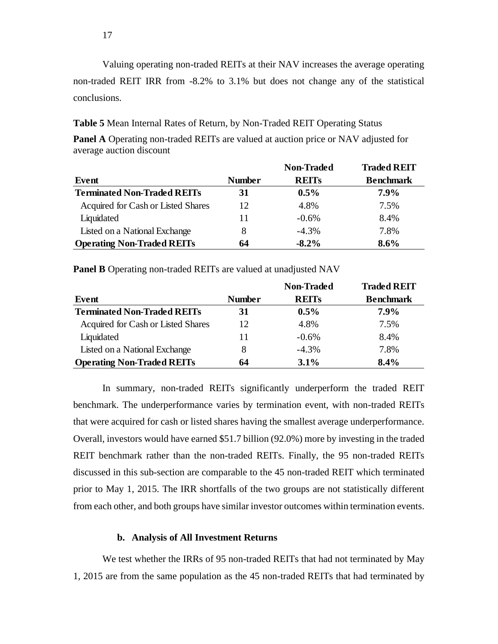Valuing operating non-traded REITs at their NAV increases the average operating non-traded REIT IRR from -8.2% to 3.1% but does not change any of the statistical conclusions.

**Table 5** Mean Internal Rates of Return, by Non-Traded REIT Operating Status

**Panel A** Operating non-traded REITs are valued at auction price or NAV adjusted for average auction discount

|                                    |               | <b>Non-Traded</b> | <b>Traded REIT</b> |
|------------------------------------|---------------|-------------------|--------------------|
| Event                              | <b>Number</b> | <b>REITS</b>      | <b>Benchmark</b>   |
| <b>Terminated Non-Traded REITs</b> | 31            | $0.5\%$           | $7.9\%$            |
| Acquired for Cash or Listed Shares | 12            | 4.8%              | 7.5%               |
| Liquidated                         | 11            | $-0.6%$           | 8.4%               |
| Listed on a National Exchange      | 8             | $-4.3%$           | 7.8%               |
| <b>Operating Non-Traded REITs</b>  | 64            | $-8.2\%$          | $8.6\%$            |

**Panel B** Operating non-traded REITs are valued at unadjusted NAV

|                                    |        | <b>Non-Traded</b> | <b>Traded REIT</b> |
|------------------------------------|--------|-------------------|--------------------|
| Event                              | Number | <b>REITS</b>      | <b>Benchmark</b>   |
| <b>Terminated Non-Traded REITs</b> | 31     | $0.5\%$           | $7.9\%$            |
| Acquired for Cash or Listed Shares | 12     | 4.8%              | 7.5%               |
| Liquidated                         | 11     | $-0.6\%$          | 8.4%               |
| Listed on a National Exchange      | 8      | $-4.3%$           | 7.8%               |
| <b>Operating Non-Traded REITs</b>  | 64     | 3.1%              | 8.4%               |

In summary, non-traded REITs significantly underperform the traded REIT benchmark. The underperformance varies by termination event, with non-traded REITs that were acquired for cash or listed shares having the smallest average underperformance. Overall, investors would have earned \$51.7 billion (92.0%) more by investing in the traded REIT benchmark rather than the non-traded REITs. Finally, the 95 non-traded REITs discussed in this sub-section are comparable to the 45 non-traded REIT which terminated prior to May 1, 2015. The IRR shortfalls of the two groups are not statistically different from each other, and both groups have similar investor outcomes within termination events.

### **b. Analysis of All Investment Returns**

We test whether the IRRs of 95 non-traded REITs that had not terminated by May 1, 2015 are from the same population as the 45 non-traded REITs that had terminated by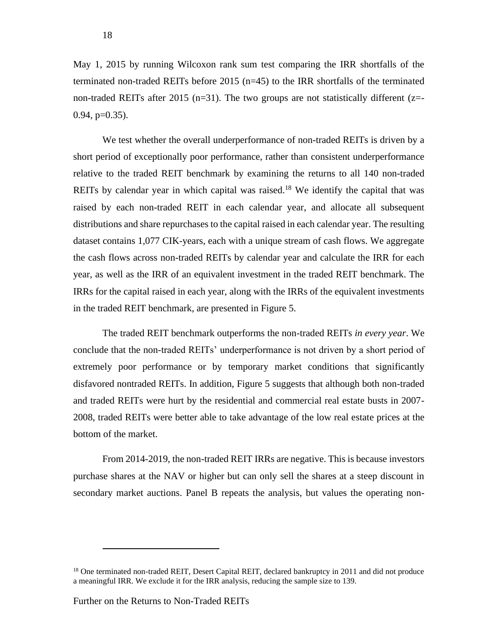May 1, 2015 by running Wilcoxon rank sum test comparing the IRR shortfalls of the terminated non-traded REITs before 2015 (n=45) to the IRR shortfalls of the terminated non-traded REITs after 2015 (n=31). The two groups are not statistically different ( $z=$ - $0.94$ ,  $p=0.35$ ).

We test whether the overall underperformance of non-traded REITs is driven by a short period of exceptionally poor performance, rather than consistent underperformance relative to the traded REIT benchmark by examining the returns to all 140 non-traded REITs by calendar year in which capital was raised.<sup>18</sup> We identify the capital that was raised by each non-traded REIT in each calendar year, and allocate all subsequent distributions and share repurchases to the capital raised in each calendar year. The resulting dataset contains 1,077 CIK-years, each with a unique stream of cash flows. We aggregate the cash flows across non-traded REITs by calendar year and calculate the IRR for each year, as well as the IRR of an equivalent investment in the traded REIT benchmark. The IRRs for the capital raised in each year, along with the IRRs of the equivalent investments in the traded REIT benchmark, are presented in Figure 5.

The traded REIT benchmark outperforms the non-traded REITs *in every year*. We conclude that the non-traded REITs' underperformance is not driven by a short period of extremely poor performance or by temporary market conditions that significantly disfavored nontraded REITs. In addition, Figure 5 suggests that although both non-traded and traded REITs were hurt by the residential and commercial real estate busts in 2007- 2008, traded REITs were better able to take advantage of the low real estate prices at the bottom of the market.

From 2014-2019, the non-traded REIT IRRs are negative. This is because investors purchase shares at the NAV or higher but can only sell the shares at a steep discount in secondary market auctions. Panel B repeats the analysis, but values the operating non-

<sup>&</sup>lt;sup>18</sup> One terminated non-traded REIT, Desert Capital REIT, declared bankruptcy in 2011 and did not produce a meaningful IRR. We exclude it for the IRR analysis, reducing the sample size to 139.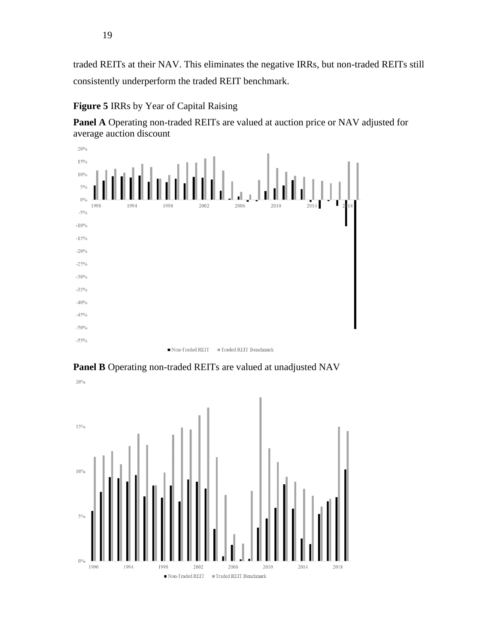traded REITs at their NAV. This eliminates the negative IRRs, but non-traded REITs still consistently underperform the traded REIT benchmark.

## **Figure 5** IRRs by Year of Capital Raising

**Panel A** Operating non-traded REITs are valued at auction price or NAV adjusted for average auction discount



**Panel B** Operating non-traded REITs are valued at unadjusted NAV

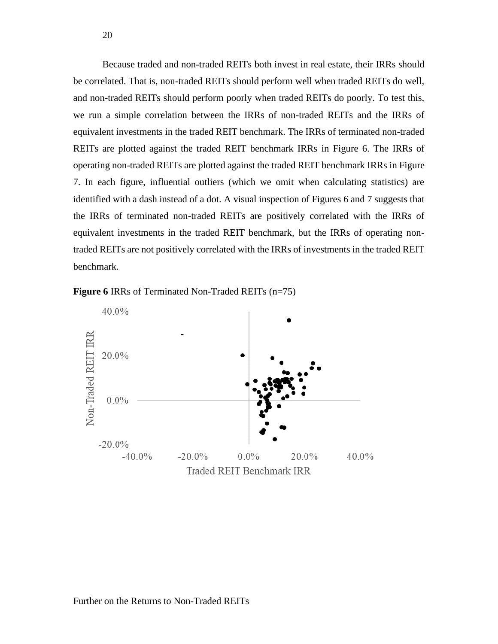Because traded and non-traded REITs both invest in real estate, their IRRs should be correlated. That is, non-traded REITs should perform well when traded REITs do well, and non-traded REITs should perform poorly when traded REITs do poorly. To test this, we run a simple correlation between the IRRs of non-traded REITs and the IRRs of equivalent investments in the traded REIT benchmark. The IRRs of terminated non-traded REITs are plotted against the traded REIT benchmark IRRs in Figure 6. The IRRs of operating non-traded REITs are plotted against the traded REIT benchmark IRRs in Figure 7. In each figure, influential outliers (which we omit when calculating statistics) are identified with a dash instead of a dot. A visual inspection of Figures 6 and 7 suggests that the IRRs of terminated non-traded REITs are positively correlated with the IRRs of equivalent investments in the traded REIT benchmark, but the IRRs of operating nontraded REITs are not positively correlated with the IRRs of investments in the traded REIT benchmark.

**Figure 6** IRRs of Terminated Non-Traded REITs (n=75)

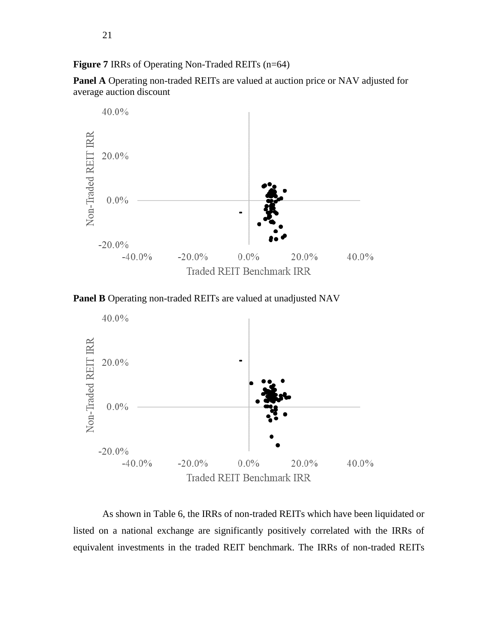**Figure 7** IRRs of Operating Non-Traded REITs (n=64)

**Panel A** Operating non-traded REITs are valued at auction price or NAV adjusted for average auction discount







As shown in Table 6, the IRRs of non-traded REITs which have been liquidated or listed on a national exchange are significantly positively correlated with the IRRs of equivalent investments in the traded REIT benchmark. The IRRs of non-traded REITs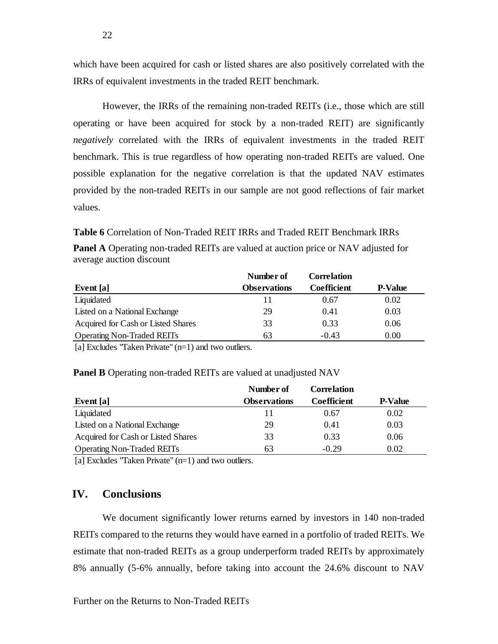which have been acquired for cash or listed shares are also positively correlated with the IRRs of equivalent investments in the traded REIT benchmark.

However, the IRRs of the remaining non-traded REITs (i.e., those which are still operating or have been acquired for stock by a non-traded REIT) are significantly *negatively* correlated with the IRRs of equivalent investments in the traded REIT benchmark. This is true regardless of how operating non-traded REITs are valued. One possible explanation for the negative correlation is that the updated NAV estimates provided by the non-traded REITs in our sample are not good reflections of fair market values.

**Table 6** Correlation of Non-Traded REIT IRRs and Traded REIT Benchmark IRRs

| <b>Panel A</b> Operating non-traded REITs are valued at auction price or NAV adjusted for |  |  |  |
|-------------------------------------------------------------------------------------------|--|--|--|
| average auction discount                                                                  |  |  |  |

|                                    | Number of           | <b>Correlation</b> |                |
|------------------------------------|---------------------|--------------------|----------------|
| Event [a]                          | <b>Observations</b> | <b>Coefficient</b> | <b>P-Value</b> |
| Liquidated                         | 11                  | 0.67               | 0.02           |
| Listed on a National Exchange      | 29                  | 0.41               | 0.03           |
| Acquired for Cash or Listed Shares | 33                  | 0.33               | 0.06           |
| <b>Operating Non-Traded REITs</b>  | 63                  | $-0.43$            | 0.00           |

[a] Excludes "Taken Private" (n=1) and two outliers.

| <b>Panel B</b> Operating non-traded REITs are valued at unadjusted NAV |
|------------------------------------------------------------------------|
|------------------------------------------------------------------------|

| Event [a]                          | Number of<br><b>Observations</b> | Correlation<br><b>Coefficient</b> | <b>P-Value</b> |
|------------------------------------|----------------------------------|-----------------------------------|----------------|
|                                    |                                  |                                   |                |
| Listed on a National Exchange      | 29                               | 0.41                              | 0.03           |
| Acquired for Cash or Listed Shares | 33                               | 0.33                              | 0.06           |
| <b>Operating Non-Traded REITs</b>  | 63                               | $-0.29$                           | 0.02           |

[a] Excludes "Taken Private"  $(n=1)$  and two outliers.

# **IV. Conclusions**

We document significantly lower returns earned by investors in 140 non-traded REITs compared to the returns they would have earned in a portfolio of traded REITs. We estimate that non-traded REITs as a group underperform traded REITs by approximately 8% annually (5-6% annually, before taking into account the 24.6% discount to NAV